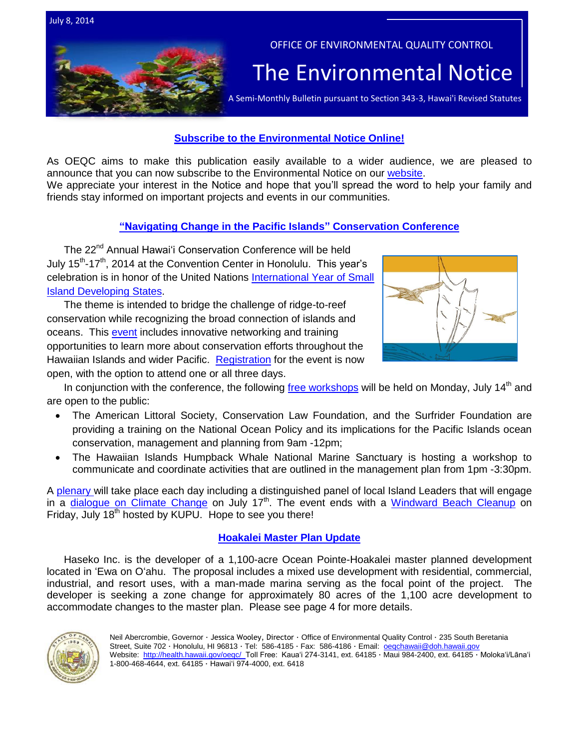

### **[Subscribe to the Environmental Notice Online!](http://health.hawaii.gov/oeqc/)**

As OEQC aims to make this publication easily available to a wider audience, we are pleased to announce that you can now subscribe to the Environmental Notice on our [website.](http://health.hawaii.gov/oeqc/)

We appreciate your interest in the Notice and hope that you'll spread the word to help your family and friends stay informed on important projects and events in our communities.

## **["Navigating Change in the Pacific Islands"](http://www.hawaiiconservation.org/conference/participate) Conservation Conference**

The 22<sup>nd</sup> Annual Hawai'i Conservation Conference will be held July 15<sup>th</sup>-17<sup>th</sup>, 2014 at the Convention Center in Honolulu. This year's celebration is in honor of the United Nations [International Year of Small](http://www.un.org/en/events/islands2014/#&panel1-1)  [Island Developing States.](http://www.un.org/en/events/islands2014/#&panel1-1)

The theme is intended to bridge the challenge of ridge-to-reef conservation while recognizing the broad connection of islands and oceans. This [event](http://www.hawaiiconservation.org/conference/participate) includes innovative networking and training opportunities to learn more about conservation efforts throughout the Hawaiian Islands and wider Pacific. [Registration](http://www.hawaiiconservation.org/conference/participate/register) for the event is now open, with the option to attend one or all three days.



In conjunction with the conference, the following [free workshops](http://www.hawaiiconservation.org/conference/program/trainings) will be held on Monday, July 14<sup>th</sup> and are open to the public:

- The American Littoral Society, Conservation Law Foundation, and the Surfrider Foundation are providing a training on the National Ocean Policy and its implications for the Pacific Islands ocean conservation, management and planning from 9am -12pm;
- The Hawaiian Islands Humpback Whale National Marine Sanctuary is hosting a workshop to communicate and coordinate activities that are outlined in the management plan from 1pm -3:30pm.

A [plenary](http://www.hawaiiconservation.org/conference/program/plenary) will take place each day including a distinguished panel of local Island Leaders that will engage in a [dialogue on Climate Change](http://www.hawaiiconservation.org/images/uploads/conference/HCC_Plenary_Panel_on_Climate_Leadership_v4.0.pdf) on July 17<sup>th</sup>. The event ends with a [Windward Beach Cleanup](http://www.hawaiiconservation.org/images/uploads/conference/Flyer_for_July_18_Cleanup_-_HCA_:_KUPU.pdf) on Friday, July 18<sup>th</sup> hosted by KUPU. Hope to see you there!

### **[Hoakalei Master Plan Update](http://oeqc.doh.hawaii.gov/Shared%20Documents/EA_and_EIS_Online_Library/Oahu/2010s/2014-07-08-OA-5E-DEIS-Hoakalei-Master-Plan-Volume-1.pdf)**

Haseko Inc. is the developer of a 1,100-acre Ocean Pointe-Hoakalei master planned development located in ʻEwa on Oʻahu. The proposal includes a mixed use development with residential, commercial, industrial, and resort uses, with a man-made marina serving as the focal point of the project. The developer is seeking a zone change for approximately 80 acres of the 1,100 acre development to accommodate changes to the master plan. Please see page 4 for more details.

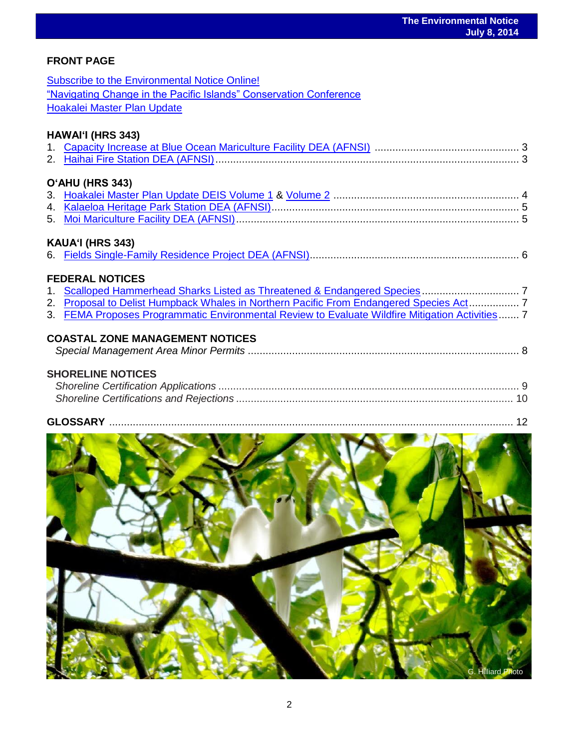# **FRONT PAGE**

| <b>Subscribe to the Environmental Notice Online!</b>                                            |
|-------------------------------------------------------------------------------------------------|
| "Navigating Change in the Pacific Islands" Conservation Conference                              |
| Hoakalei Master Plan Update                                                                     |
|                                                                                                 |
| HAWAI'I (HRS 343)                                                                               |
|                                                                                                 |
|                                                                                                 |
| O'AHU (HRS 343)                                                                                 |
|                                                                                                 |
|                                                                                                 |
|                                                                                                 |
| KAUA'I (HRS 343)                                                                                |
|                                                                                                 |
| <b>FEDERAL NOTICES</b>                                                                          |
|                                                                                                 |
| 2. Proposal to Delist Humpback Whales in Northern Pacific From Endangered Species Act 7         |
| 3. FEMA Proposes Programmatic Environmental Review to Evaluate Wildfire Mitigation Activities 7 |
| <b>COASTAL ZONE MANAGEMENT NOTICES</b>                                                          |
|                                                                                                 |
| <b>SHORELINE NOTICES</b>                                                                        |
|                                                                                                 |
|                                                                                                 |
|                                                                                                 |

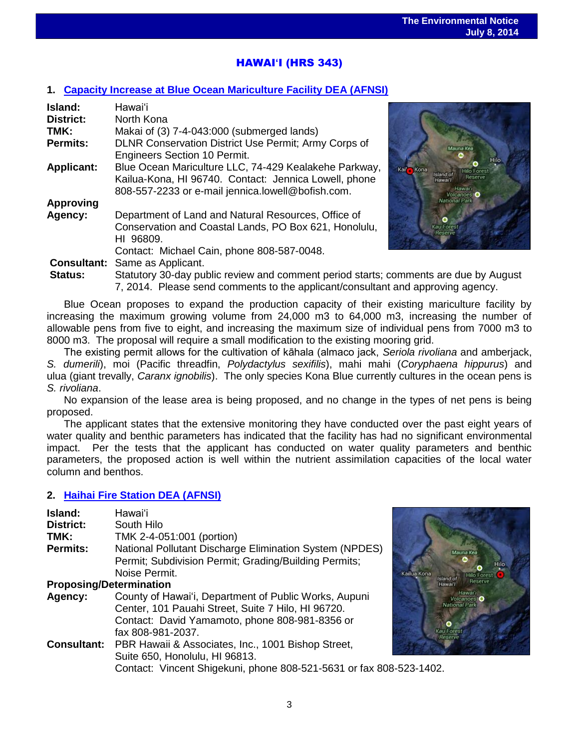# HAWAI**ʻ**I (HRS 343)

### **1. [Capacity Increase at Blue Ocean Mariculture Facility DEA \(AFNSI\)](http://oeqc.doh.hawaii.gov/Shared%20Documents/EA_and_EIS_Online_Library/Hawaii/2010s/2014-07-08-HA-5E-DEA-Capacity-Increase-at-Blue-Ocean-Mariculture-Facility.pdf)**

| Island:            | Hawai'i                                                                              |                                   |
|--------------------|--------------------------------------------------------------------------------------|-----------------------------------|
| <b>District:</b>   | North Kona                                                                           |                                   |
| TMK:               | Makai of (3) 7-4-043:000 (submerged lands)                                           |                                   |
| <b>Permits:</b>    | DLNR Conservation District Use Permit; Army Corps of                                 | Mauna Kea                         |
|                    | <b>Engineers Section 10 Permit.</b>                                                  |                                   |
| <b>Applicant:</b>  | Blue Ocean Mariculture LLC, 74-429 Kealakehe Parkway,                                | Kail Kona<br><b>Hilo Forest</b>   |
|                    | Kailua-Kona, HI 96740. Contact: Jennica Lowell, phone                                | Island of<br>Reserve<br>'lawai    |
|                    | 808-557-2233 or e-mail jennica.lowell@bofish.com.                                    | Hawai'i<br>Volcanoes <sup>®</sup> |
| <b>Approving</b>   |                                                                                      | National Park                     |
| Agency:            | Department of Land and Natural Resources, Office of                                  | o                                 |
|                    | Conservation and Coastal Lands, PO Box 621, Honolulu,                                | <b>Kau Forest</b><br>Reserve      |
|                    | HI 96809.                                                                            |                                   |
|                    | Contact: Michael Cain, phone 808-587-0048.                                           |                                   |
| <b>Consultant:</b> | Same as Applicant.                                                                   |                                   |
| <b>Status:</b>     | Statutory 30-day public review and comment period starts; comments are due by August |                                   |
|                    | 7, 2014. Please send comments to the applicant/consultant and approving agency.      |                                   |



Blue Ocean proposes to expand the production capacity of their existing mariculture facility by increasing the maximum growing volume from 24,000 m3 to 64,000 m3, increasing the number of allowable pens from five to eight, and increasing the maximum size of individual pens from 7000 m3 to 8000 m3. The proposal will require a small modification to the existing mooring grid.

The existing permit allows for the cultivation of kāhala (almaco jack, *Seriola rivoliana* and amberjack, *S. dumerili*), moi (Pacific threadfin, *Polydactylus sexifilis*), mahi mahi (*Coryphaena hippurus*) and ulua (giant trevally, *Caranx ignobilis*). The only species Kona Blue currently cultures in the ocean pens is *S. rivoliana*.

No expansion of the lease area is being proposed, and no change in the types of net pens is being proposed.

The applicant states that the extensive monitoring they have conducted over the past eight years of water quality and benthic parameters has indicated that the facility has had no significant environmental impact. Per the tests that the applicant has conducted on water quality parameters and benthic parameters, the proposed action is well within the nutrient assimilation capacities of the local water column and benthos.

### **2. [Haihai Fire Station DEA \(AFNSI\)](http://oeqc.doh.hawaii.gov/Shared%20Documents/EA_and_EIS_Online_Library/Hawaii/2010s/2014-07-08-HA-5B-DEA-Haihai-Fire-Station.pdf)**

| Island:<br><b>District:</b><br>TMK:<br><b>Permits:</b> | Hawai'i<br>South Hilo<br>TMK 2-4-051:001 (portion)<br>National Pollutant Discharge Elimination System (NPDES)<br>Permit; Subdivision Permit; Grading/Building Permits;<br>Noise Permit. | Kailua Kona |
|--------------------------------------------------------|-----------------------------------------------------------------------------------------------------------------------------------------------------------------------------------------|-------------|
| <b>Proposing/Determination</b>                         |                                                                                                                                                                                         |             |
| Agency:                                                | County of Hawai'i, Department of Public Works, Aupuni<br>Center, 101 Pauahi Street, Suite 7 Hilo, HI 96720.<br>Contact: David Yamamoto, phone 808-981-8356 or<br>fax 808-981-2037.      | Kau         |
|                                                        | <b>Consultant:</b> PBR Hawaii & Associates, Inc., 1001 Bishop Street,<br>Suite 650, Honolulu, HI 96813.<br>Contact: Vincent Shigekuni, phone 808-521-5631 or fax 808-523-1402.          |             |

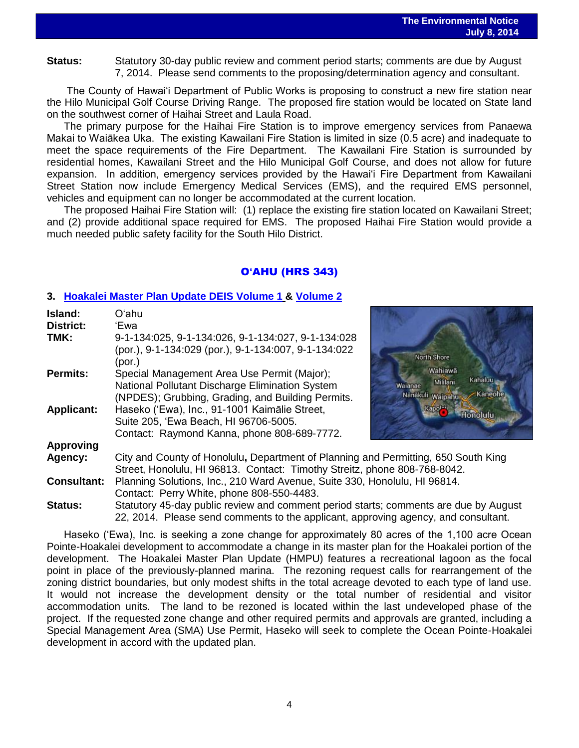**Status:** Statutory 30-day public review and comment period starts; comments are due by August 7, 2014. Please send comments to the proposing/determination agency and consultant.

The County of Hawai'i Department of Public Works is proposing to construct a new fire station near the Hilo Municipal Golf Course Driving Range. The proposed fire station would be located on State land on the southwest corner of Haihai Street and Laula Road.

The primary purpose for the Haihai Fire Station is to improve emergency services from Panaewa Makai to Waiākea Uka. The existing Kawailani Fire Station is limited in size (0.5 acre) and inadequate to meet the space requirements of the Fire Department. The Kawailani Fire Station is surrounded by residential homes, Kawailani Street and the Hilo Municipal Golf Course, and does not allow for future expansion. In addition, emergency services provided by the Hawai'i Fire Department from Kawailani Street Station now include Emergency Medical Services (EMS), and the required EMS personnel, vehicles and equipment can no longer be accommodated at the current location.

The proposed Haihai Fire Station will: (1) replace the existing fire station located on Kawailani Street; and (2) provide additional space required for EMS. The proposed Haihai Fire Station would provide a much needed public safety facility for the South Hilo District.

## O**'**AHU (HRS 343)

### **3. [Hoakalei Master Plan Update DEIS](Hoakalei%20Master%20Plan%20Update%20DEIS%20Volume%201) Volume 1 & [Volume 2](http://oeqc.doh.hawaii.gov/Shared%20Documents/EA_and_EIS_Online_Library/Oahu/2010s/2014-07-08-OA-5E-DEIS-Hoakalei-Master-Plan-Volume-2.pdf)**

| Island:            | Oʻahu                                                                                |                                |
|--------------------|--------------------------------------------------------------------------------------|--------------------------------|
| <b>District:</b>   | 'Ewa                                                                                 |                                |
| TMK:               | 9-1-134:025, 9-1-134:026, 9-1-134:027, 9-1-134:028                                   |                                |
|                    | (por.), 9-1-134:029 (por.), 9-1-134:007, 9-1-134:022                                 | North Shore                    |
|                    | (por.)                                                                               |                                |
| <b>Permits:</b>    | Special Management Area Use Permit (Major);                                          | Wahiawā                        |
|                    | National Pollutant Discharge Elimination System                                      | Kahaluu<br>Mililani<br>Waianae |
|                    | (NPDES); Grubbing, Grading, and Building Permits.                                    | Kaneoh<br>Nanakuli Waipahu     |
| <b>Applicant:</b>  | Haseko ('Ewa), Inc., 91-1001 Kaimālie Street,                                        | Honolulu                       |
|                    | Suite 205, 'Ewa Beach, HI 96706-5005.                                                |                                |
|                    | Contact: Raymond Kanna, phone 808-689-7772.                                          |                                |
| <b>Approving</b>   |                                                                                      |                                |
| Agency:            | City and County of Honolulu, Department of Planning and Permitting, 650 South King   |                                |
|                    | Street, Honolulu, HI 96813. Contact: Timothy Streitz, phone 808-768-8042.            |                                |
| <b>Consultant:</b> | Planning Solutions, Inc., 210 Ward Avenue, Suite 330, Honolulu, HI 96814.            |                                |
|                    | Contact: Perry White, phone 808-550-4483.                                            |                                |
| <b>Status:</b>     | Statutory 45-day public review and comment period starts; comments are due by August |                                |
|                    | 22, 2014. Please send comments to the applicant, approving agency, and consultant.   |                                |

Haseko ('Ewa), Inc. is seeking a zone change for approximately 80 acres of the 1,100 acre Ocean Pointe-Hoakalei development to accommodate a change in its master plan for the Hoakalei portion of the development. The Hoakalei Master Plan Update (HMPU) features a recreational lagoon as the focal point in place of the previously-planned marina. The rezoning request calls for rearrangement of the zoning district boundaries, but only modest shifts in the total acreage devoted to each type of land use. It would not increase the development density or the total number of residential and visitor accommodation units. The land to be rezoned is located within the last undeveloped phase of the project. If the requested zone change and other required permits and approvals are granted, including a Special Management Area (SMA) Use Permit, Haseko will seek to complete the Ocean Pointe-Hoakalei development in accord with the updated plan.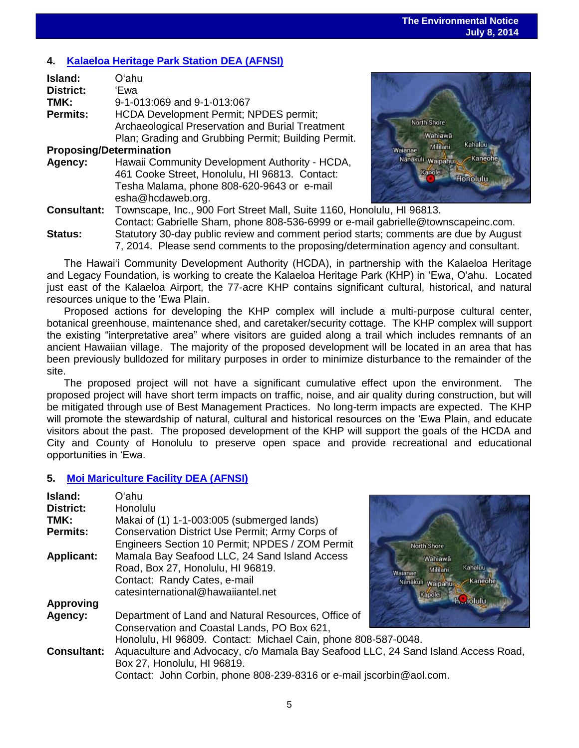# **4. [Kalaeloa Heritage Park Station DEA \(AFNSI\)](http://oeqc.doh.hawaii.gov/Shared%20Documents/EA_and_EIS_Online_Library/Oahu/2010s/2014-07-08-OA-5B-DEA-Kalaeloa-Heritage-Park-Station.pdf)**

| Island:                        | Oʻahu                                                       |  |
|--------------------------------|-------------------------------------------------------------|--|
| <b>District:</b>               | 'Ewa                                                        |  |
| TMK:                           | 9-1-013:069 and 9-1-013:067                                 |  |
| <b>Permits:</b>                | HCDA Development Permit; NPDES permit;                      |  |
|                                | Archaeological Preservation and Burial Treatment            |  |
|                                | Plan; Grading and Grubbing Permit; Building Permit.         |  |
| <b>Proposing/Determination</b> |                                                             |  |
| Agency:                        | Hawaii Community Development Authority - HCDA,              |  |
|                                | 461 Cooke Street, Honolulu, HI 96813. Contact:              |  |
|                                | Tesha Malama, phone 808-620-9643 or e-mail                  |  |
|                                | esha@hcdaweb.org.                                           |  |
| <b>Consultant:</b>             | Townscape, Inc., 900 Fort Street Mall, Suite 1160, Honolulu |  |
|                                | Contact: Gabrielle Sham, phone 808-536-6999 or e-mail ga    |  |
| Status:                        | Statutory 30-day public review and comment period starts: o |  |



**Consultant:** Townscape, Inc., 900 Fort Street Mall, Suite 1160, Honolulu, HI 96813. brielle@townscapeinc.com. **Status:** Statutory 30-day public review and comment period starts; comments are due by August 7, 2014. Please send comments to the proposing/determination agency and consultant.

The Hawaiʻi Community Development Authority (HCDA), in partnership with the Kalaeloa Heritage and Legacy Foundation, is working to create the Kalaeloa Heritage Park (KHP) in ʻEwa, Oʻahu. Located just east of the Kalaeloa Airport, the 77-acre KHP contains significant cultural, historical, and natural resources unique to the ʻEwa Plain.

Proposed actions for developing the KHP complex will include a multi-purpose cultural center, botanical greenhouse, maintenance shed, and caretaker/security cottage. The KHP complex will support the existing "interpretative area" where visitors are guided along a trail which includes remnants of an ancient Hawaiian village. The majority of the proposed development will be located in an area that has been previously bulldozed for military purposes in order to minimize disturbance to the remainder of the site.

The proposed project will not have a significant cumulative effect upon the environment. The proposed project will have short term impacts on traffic, noise, and air quality during construction, but will be mitigated through use of Best Management Practices. No long-term impacts are expected. The KHP will promote the stewardship of natural, cultural and historical resources on the ʻEwa Plain, and educate visitors about the past. The proposed development of the KHP will support the goals of the HCDA and City and County of Honolulu to preserve open space and provide recreational and educational opportunities in ʻEwa.

# **5. [Moi Mariculture Facility DEA \(AFNSI\)](http://oeqc.doh.hawaii.gov/Shared%20Documents/EA_and_EIS_Online_Library/Oahu/2010s/2014-07-08-OA-5E-DEA-Moi-Mariculture-Facility.pdf)**

| Island:            | Oʻahu                                                                             |                                |
|--------------------|-----------------------------------------------------------------------------------|--------------------------------|
| <b>District:</b>   | Honolulu                                                                          |                                |
| TMK:               | Makai of (1) 1-1-003:005 (submerged lands)                                        |                                |
| <b>Permits:</b>    | Conservation District Use Permit; Army Corps of                                   |                                |
|                    | Engineers Section 10 Permit; NPDES / ZOM Permit                                   | North Shore                    |
| <b>Applicant:</b>  | Mamala Bay Seafood LLC, 24 Sand Island Access                                     | Wahiawā                        |
|                    | Road, Box 27, Honolulu, HI 96819.                                                 | Kahaluu<br>Mililani<br>Waianae |
|                    | Contact: Randy Cates, e-mail                                                      | Kaneohe<br>Nanakuli waipahu    |
|                    | catesinternational@hawaiiantel.net                                                | Kapolei                        |
| <b>Approving</b>   |                                                                                   | <b>HC</b> rolulu               |
| Agency:            | Department of Land and Natural Resources, Office of                               |                                |
|                    | Conservation and Coastal Lands, PO Box 621,                                       |                                |
|                    | Honolulu, HI 96809. Contact: Michael Cain, phone 808-587-0048.                    |                                |
| <b>Consultant:</b> | Aquaculture and Advocacy, c/o Mamala Bay Seafood LLC, 24 Sand Island Access Road, |                                |
|                    | Box 27, Honolulu, HI 96819.                                                       |                                |
|                    | Contact: John Corbin, phone 808-239-8316 or e-mail jscorbin@aol.com.              |                                |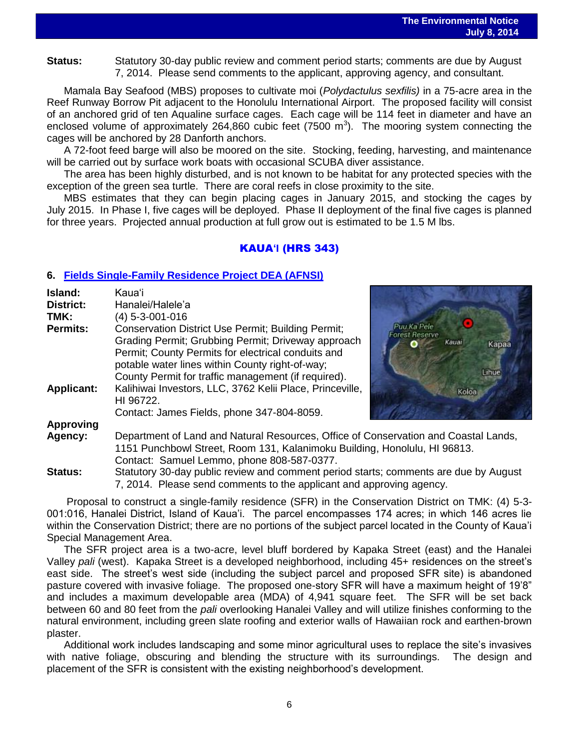**Status:** Statutory 30-day public review and comment period starts; comments are due by August 7, 2014. Please send comments to the applicant, approving agency, and consultant.

Mamala Bay Seafood (MBS) proposes to cultivate moi (*Polydactulus sexfilis)* in a 75-acre area in the Reef Runway Borrow Pit adjacent to the Honolulu International Airport. The proposed facility will consist of an anchored grid of ten Aqualine surface cages. Each cage will be 114 feet in diameter and have an enclosed volume of approximately 264,860 cubic feet (7500  $\mathrm{m}^3$ ). The mooring system connecting the cages will be anchored by 28 Danforth anchors.

A 72-foot feed barge will also be moored on the site. Stocking, feeding, harvesting, and maintenance will be carried out by surface work boats with occasional SCUBA diver assistance.

The area has been highly disturbed, and is not known to be habitat for any protected species with the exception of the green sea turtle. There are coral reefs in close proximity to the site.

MBS estimates that they can begin placing cages in January 2015, and stocking the cages by July 2015. In Phase I, five cages will be deployed. Phase II deployment of the final five cages is planned for three years. Projected annual production at full grow out is estimated to be 1.5 M lbs.

# KAUA**'I** (HRS 343)

### **6. [Fields Single-Family Residence Project DEA \(AFNSI\)](http://oeqc.doh.hawaii.gov/Shared%20Documents/EA_and_EIS_Online_Library/Kauai/2010s/2014-07-08-KA-5E-DEA-Fields-Single-Family-Residence-Project.pdf)**

| Island:           | Kaua'i                                                    |
|-------------------|-----------------------------------------------------------|
| <b>District:</b>  | Hanalei/Halele'a                                          |
| TMK:              | $(4)$ 5-3-001-016                                         |
| <b>Permits:</b>   | <b>Conservation District Use Permit; Building Permit;</b> |
|                   | Grading Permit; Grubbing Permit; Driveway approach        |
|                   | Permit; County Permits for electrical conduits and        |
|                   | potable water lines within County right-of-way;           |
|                   | County Permit for traffic management (if required).       |
| <b>Applicant:</b> | Kalihiwai Investors, LLC, 3762 Kelii Place, Princeville,  |
|                   | HI 96722.                                                 |
|                   | Contact: James Fields, phone 347-804-8059.                |
| Approving         |                                                           |



### **Approving**

**Agency:** Department of Land and Natural Resources, Office of Conservation and Coastal Lands, 1151 Punchbowl Street, Room 131, Kalanimoku Building, Honolulu, HI 96813. Contact: Samuel Lemmo, phone 808-587-0377.

**Status:** Statutory 30-day public review and comment period starts; comments are due by August 7, 2014. Please send comments to the applicant and approving agency.

Proposal to construct a single-family residence (SFR) in the Conservation District on TMK: (4) 5-3- 001:016, Hanalei District, Island of Kaua'i. The parcel encompasses 174 acres; in which 146 acres lie within the Conservation District; there are no portions of the subject parcel located in the County of Kaua'i Special Management Area.

The SFR project area is a two-acre, level bluff bordered by Kapaka Street (east) and the Hanalei Valley *pali* (west). Kapaka Street is a developed neighborhood, including 45+ residences on the street's east side. The street's west side (including the subject parcel and proposed SFR site) is abandoned pasture covered with invasive foliage. The proposed one-story SFR will have a maximum height of 19'8" and includes a maximum developable area (MDA) of 4,941 square feet. The SFR will be set back between 60 and 80 feet from the *pali* overlooking Hanalei Valley and will utilize finishes conforming to the natural environment, including green slate roofing and exterior walls of Hawaiian rock and earthen-brown plaster.

Additional work includes landscaping and some minor agricultural uses to replace the site's invasives with native foliage, obscuring and blending the structure with its surroundings. The design and placement of the SFR is consistent with the existing neighborhood's development.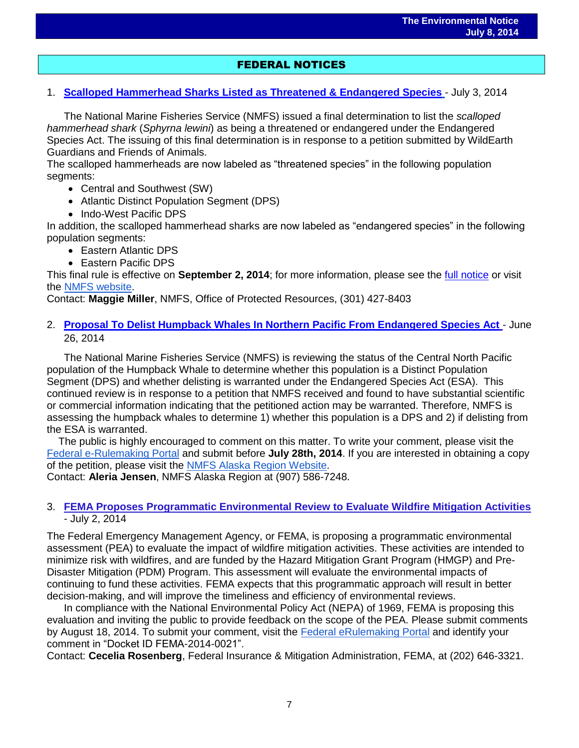# FEDERAL NOTICES

1. **[Scalloped Hammerhead Sharks Listed as](http://www.gpo.gov/fdsys/pkg/FR-2014-07-03/pdf/2014-15710.pdf) Threatened & Endangered Species** - July 3, 2014

The National Marine Fisheries Service (NMFS) issued a final determination to list the *scalloped hammerhead shark* (*Sphyrna lewini*) as being a threatened or endangered under the Endangered Species Act. The issuing of this final determination is in response to a petition submitted by WildEarth Guardians and Friends of Animals.

The scalloped hammerheads are now labeled as "threatened species" in the following population segments:

- Central and Southwest (SW)
- Atlantic Distinct Population Segment (DPS)
- Indo-West Pacific DPS

In addition, the scalloped hammerhead sharks are now labeled as "endangered species" in the following population segments:

- Eastern Atlantic DPS
- Eastern Pacific DPS

This final rule is effective on **September 2, 2014**; for more information, please see the [full notice](http://www.gpo.gov/fdsys/pkg/FR-2014-07-03/pdf/2014-15710.pdf) or visit the [NMFS website.](http://www.nmfs.noaa.gov/pr/species/fish/scallopedhammerheadshark.htm)

Contact: **Maggie Miller**, NMFS, Office of Protected Resources, (301) 427-8403

### 2. **[Proposal To Delist Humpback Whales In Northern Pacific From Endangered Species Act](http://www.gpo.gov/fdsys/pkg/FR-2014-06-26/pdf/2014-14961.pdf)** - June 26, 2014

The National Marine Fisheries Service (NMFS) is reviewing the status of the Central North Pacific population of the Humpback Whale to determine whether this population is a Distinct Population Segment (DPS) and whether delisting is warranted under the Endangered Species Act (ESA). This continued review is in response to a petition that NMFS received and found to have substantial scientific or commercial information indicating that the petitioned action may be warranted. Therefore, NMFS is assessing the humpback whales to determine 1) whether this population is a DPS and 2) if delisting from the ESA is warranted.

 The public is highly encouraged to comment on this matter. To write your comment, please visit the [Federal e-Rulemaking Portal](http://www.regulations.gov/#!docketDetail) and submit before **July 28th, 2014**. If you are interested in obtaining a copy of the petition, please visit the [NMFS Alaska Region Website.](http://alaskafisheries.noaa.gov/protectedresources/whales/humpback/)

Contact: **Aleria Jensen**, NMFS Alaska Region at (907) 586-7248.

### 3. **FEMA [Proposes Programmatic Environmental Review to Evaluate Wildfire Mitigation Activities](http://www.gpo.gov/fdsys/pkg/FR-2014-07-02/pdf/2014-15486.pdf)**  - July 2, 2014

The Federal Emergency Management Agency, or FEMA, is proposing a programmatic environmental assessment (PEA) to evaluate the impact of wildfire mitigation activities. These activities are intended to minimize risk with wildfires, and are funded by the Hazard Mitigation Grant Program (HMGP) and Pre-Disaster Mitigation (PDM) Program. This assessment will evaluate the environmental impacts of continuing to fund these activities. FEMA expects that this programmatic approach will result in better decision-making, and will improve the timeliness and efficiency of environmental reviews.

In compliance with the National Environmental Policy Act (NEPA) of 1969, FEMA is proposing this evaluation and inviting the public to provide feedback on the scope of the PEA. Please submit comments by August 18, 2014. To submit your comment, visit the [Federal eRulemaking Portal](http://www.regulations.gov/) and identify your comment in "Docket ID FEMA-2014-0021".

Contact: **Cecelia Rosenberg**, Federal Insurance & Mitigation Administration, FEMA, at (202) 646-3321.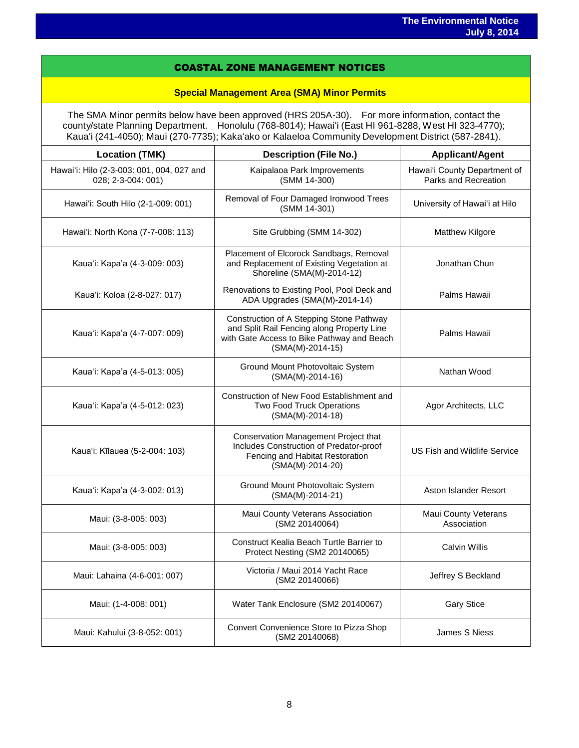### COASTAL ZONE MANAGEMENT NOTICES

### **Special Management Area (SMA) Minor Permits**

The SMA Minor permits below have been approved (HRS 205A-30). For more information, contact the county/state Planning Department. Honolulu (768-8014); Hawaiʻi (East HI 961-8288, West HI 323-4770); Kauaʻi (241-4050); Maui (270-7735); Kakaʻako or Kalaeloa Community Development District (587-2841).

| <b>Location (TMK)</b>                                           | <b>Description (File No.)</b>                                                                                                                              | <b>Applicant/Agent</b>                               |
|-----------------------------------------------------------------|------------------------------------------------------------------------------------------------------------------------------------------------------------|------------------------------------------------------|
| Hawai'i: Hilo (2-3-003: 001, 004, 027 and<br>028; 2-3-004: 001) | Kaipalaoa Park Improvements<br>(SMM 14-300)                                                                                                                | Hawai'i County Department of<br>Parks and Recreation |
| Hawai'i: South Hilo (2-1-009: 001)                              | Removal of Four Damaged Ironwood Trees<br>(SMM 14-301)                                                                                                     | University of Hawai'i at Hilo                        |
| Hawai'i: North Kona (7-7-008: 113)                              | Site Grubbing (SMM 14-302)                                                                                                                                 | Matthew Kilgore                                      |
| Kaua'i: Kapa'a (4-3-009: 003)                                   | Placement of Elcorock Sandbags, Removal<br>and Replacement of Existing Vegetation at<br>Shoreline (SMA(M)-2014-12)                                         | Jonathan Chun                                        |
| Kaua'i: Koloa (2-8-027: 017)                                    | Renovations to Existing Pool, Pool Deck and<br>ADA Upgrades (SMA(M)-2014-14)                                                                               | Palms Hawaii                                         |
| Kaua'i: Kapa'a (4-7-007: 009)                                   | Construction of A Stepping Stone Pathway<br>and Split Rail Fencing along Property Line<br>with Gate Access to Bike Pathway and Beach<br>$(SMA(M)-2014-15)$ | Palms Hawaii                                         |
| Kaua'i: Kapa'a (4-5-013: 005)                                   | Ground Mount Photovoltaic System<br>$(SMA(M)-2014-16)$                                                                                                     | Nathan Wood                                          |
| Kaua'i: Kapa'a (4-5-012: 023)                                   | Construction of New Food Establishment and<br>Two Food Truck Operations<br>$(SMA(M)-2014-18)$                                                              | Agor Architects, LLC                                 |
| Kaua'i: Kīlauea (5-2-004: 103)                                  | Conservation Management Project that<br>Includes Construction of Predator-proof<br>Fencing and Habitat Restoration<br>(SMA(M)-2014-20)                     | US Fish and Wildlife Service                         |
| Kaua'i: Kapa'a (4-3-002: 013)                                   | Ground Mount Photovoltaic System<br>(SMA(M)-2014-21)                                                                                                       | Aston Islander Resort                                |
| Maui: (3-8-005: 003)                                            | Maui County Veterans Association<br>(SM2 20140064)                                                                                                         | Maui County Veterans<br>Association                  |
| Maui: (3-8-005: 003)                                            | Construct Kealia Beach Turtle Barrier to<br>Protect Nesting (SM2 20140065)                                                                                 | <b>Calvin Willis</b>                                 |
| Maui: Lahaina (4-6-001: 007)                                    | Victoria / Maui 2014 Yacht Race<br>(SM2 20140066)                                                                                                          | Jeffrey S Beckland                                   |
| Maui: (1-4-008: 001)                                            | Water Tank Enclosure (SM2 20140067)                                                                                                                        | <b>Gary Stice</b>                                    |
| Maui: Kahului (3-8-052: 001)                                    | Convert Convenience Store to Pizza Shop<br>(SM2 20140068)                                                                                                  | James S Niess                                        |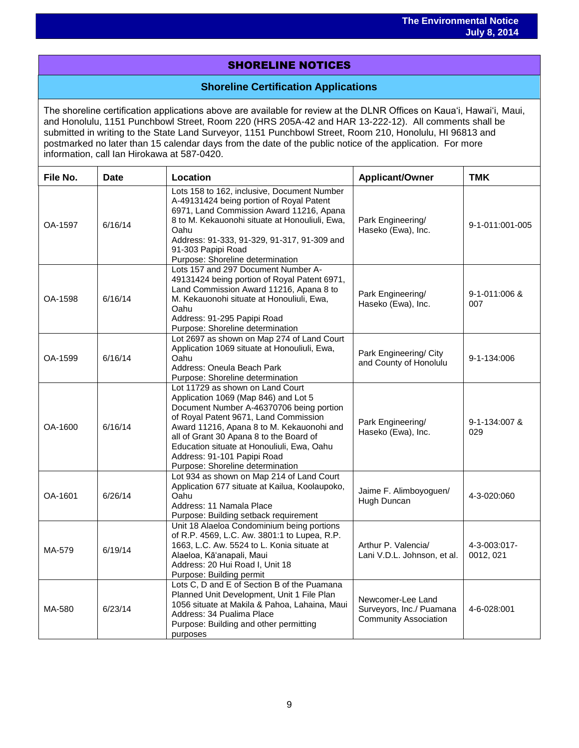# SHORELINE NOTICES

### **Shoreline Certification Applications**

The shoreline certification applications above are available for review at the DLNR Offices on Kauaʻi, Hawaiʻi, Maui, and Honolulu, 1151 Punchbowl Street, Room 220 (HRS 205A-42 and HAR 13-222-12). All comments shall be submitted in writing to the State Land Surveyor, 1151 Punchbowl Street, Room 210, Honolulu, HI 96813 and postmarked no later than 15 calendar days from the date of the public notice of the application. For more information, call Ian Hirokawa at 587-0420.

| File No. | <b>Date</b> | Location                                                                                                                                                                                                                                                                                                                                                               | <b>Applicant/Owner</b>                                                        | <b>TMK</b>                |
|----------|-------------|------------------------------------------------------------------------------------------------------------------------------------------------------------------------------------------------------------------------------------------------------------------------------------------------------------------------------------------------------------------------|-------------------------------------------------------------------------------|---------------------------|
| OA-1597  | 6/16/14     | Lots 158 to 162, inclusive, Document Number<br>A-49131424 being portion of Royal Patent<br>6971, Land Commission Award 11216, Apana<br>8 to M. Kekauonohi situate at Honouliuli, Ewa,<br>Oahu<br>Address: 91-333, 91-329, 91-317, 91-309 and<br>91-303 Papipi Road<br>Purpose: Shoreline determination                                                                 | Park Engineering/<br>Haseko (Ewa), Inc.                                       | 9-1-011:001-005           |
| OA-1598  | 6/16/14     | Lots 157 and 297 Document Number A-<br>49131424 being portion of Royal Patent 6971,<br>Land Commission Award 11216, Apana 8 to<br>M. Kekauonohi situate at Honouliuli, Ewa,<br>Oahu<br>Address: 91-295 Papipi Road<br>Purpose: Shoreline determination                                                                                                                 | Park Engineering/<br>Haseko (Ewa), Inc.                                       | 9-1-011:006 &<br>007      |
| OA-1599  | 6/16/14     | Lot 2697 as shown on Map 274 of Land Court<br>Application 1069 situate at Honouliuli, Ewa,<br>Oahu<br>Address: Oneula Beach Park<br>Purpose: Shoreline determination                                                                                                                                                                                                   | Park Engineering/ City<br>and County of Honolulu                              | 9-1-134:006               |
| OA-1600  | 6/16/14     | Lot 11729 as shown on Land Court<br>Application 1069 (Map 846) and Lot 5<br>Document Number A-46370706 being portion<br>of Royal Patent 9671, Land Commission<br>Award 11216, Apana 8 to M. Kekauonohi and<br>all of Grant 30 Apana 8 to the Board of<br>Education situate at Honouliuli, Ewa, Oahu<br>Address: 91-101 Papipi Road<br>Purpose: Shoreline determination | Park Engineering/<br>Haseko (Ewa), Inc.                                       | 9-1-134:007 &<br>029      |
| OA-1601  | 6/26/14     | Lot 934 as shown on Map 214 of Land Court<br>Application 677 situate at Kailua, Koolaupoko,<br>Oahu<br>Address: 11 Namala Place<br>Purpose: Building setback requirement                                                                                                                                                                                               | Jaime F. Alimboyoguen/<br>Hugh Duncan                                         | 4-3-020:060               |
| MA-579   | 6/19/14     | Unit 18 Alaeloa Condominium being portions<br>of R.P. 4569, L.C. Aw. 3801:1 to Lupea, R.P.<br>1663, L.C. Aw. 5524 to L. Konia situate at<br>Alaeloa, Kā'anapali, Maui<br>Address: 20 Hui Road I, Unit 18<br>Purpose: Building permit                                                                                                                                   | Arthur P. Valencia/<br>Lani V.D.L. Johnson, et al.                            | 4-3-003:017-<br>0012, 021 |
| MA-580   | 6/23/14     | Lots C, D and E of Section B of the Puamana<br>Planned Unit Development, Unit 1 File Plan<br>1056 situate at Makila & Pahoa, Lahaina, Maui<br>Address: 34 Pualima Place<br>Purpose: Building and other permitting<br>purposes                                                                                                                                          | Newcomer-Lee Land<br>Surveyors, Inc./ Puamana<br><b>Community Association</b> | 4-6-028:001               |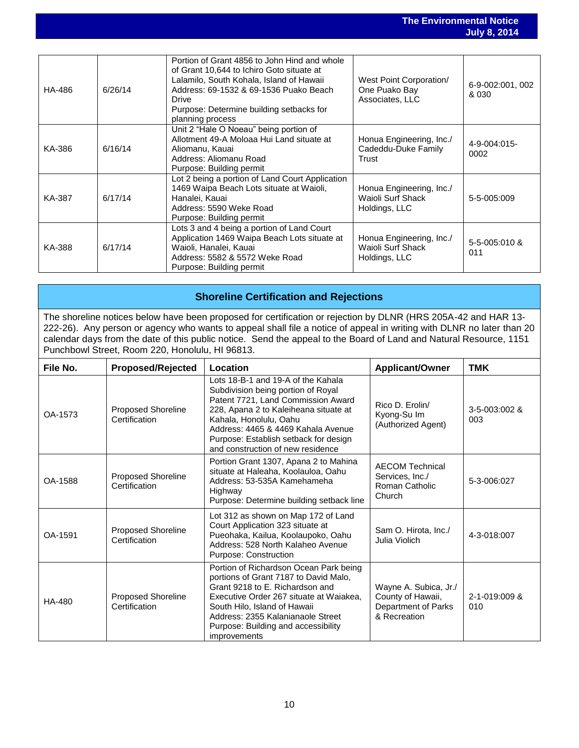| HA-486 | 6/26/14 | Portion of Grant 4856 to John Hind and whole<br>of Grant 10,644 to Ichiro Goto situate at<br>Lalamilo, South Kohala, Island of Hawaii<br>Address: 69-1532 & 69-1536 Puako Beach<br>Drive<br>Purpose: Determine building setbacks for<br>planning process | West Point Corporation/<br>One Puako Bay<br>Associates, LLC    | 6-9-002:001, 002<br>& 030 |
|--------|---------|----------------------------------------------------------------------------------------------------------------------------------------------------------------------------------------------------------------------------------------------------------|----------------------------------------------------------------|---------------------------|
| KA-386 | 6/16/14 | Unit 2 "Hale O Noeau" being portion of<br>Allotment 49-A Moloaa Hui Land situate at<br>Aliomanu, Kauai<br>Address: Aliomanu Road<br>Purpose: Building permit                                                                                             | Honua Engineering, Inc./<br>Cadeddu-Duke Family<br>Trust       | 4-9-004:015-<br>0002      |
| KA-387 | 6/17/14 | Lot 2 being a portion of Land Court Application<br>1469 Waipa Beach Lots situate at Waioli,<br>Hanalei, Kauai<br>Address: 5590 Weke Road<br>Purpose: Building permit                                                                                     | Honua Engineering, Inc./<br>Waioli Surf Shack<br>Holdings, LLC | 5-5-005:009               |
| KA-388 | 6/17/14 | Lots 3 and 4 being a portion of Land Court<br>Application 1469 Waipa Beach Lots situate at<br>Waioli, Hanalei, Kauai<br>Address: 5582 & 5572 Weke Road<br>Purpose: Building permit                                                                       | Honua Engineering, Inc./<br>Waioli Surf Shack<br>Holdings, LLC | 5-5-005:010 &<br>011      |

## **Shoreline Certification and Rejections**

The shoreline notices below have been proposed for certification or rejection by DLNR (HRS 205A-42 and HAR 13- 222-26). Any person or agency who wants to appeal shall file a notice of appeal in writing with DLNR no later than 20 calendar days from the date of this public notice. Send the appeal to the Board of Land and Natural Resource, 1151 Punchbowl Street, Room 220, Honolulu, HI 96813.

| File No. | <b>Proposed/Rejected</b>                   | Location                                                                                                                                                                                                                                                                                              | <b>Applicant/Owner</b>                                                            | <b>TMK</b>           |
|----------|--------------------------------------------|-------------------------------------------------------------------------------------------------------------------------------------------------------------------------------------------------------------------------------------------------------------------------------------------------------|-----------------------------------------------------------------------------------|----------------------|
| OA-1573  | Proposed Shoreline<br>Certification        | Lots 18-B-1 and 19-A of the Kahala<br>Subdivision being portion of Royal<br>Patent 7721, Land Commission Award<br>228, Apana 2 to Kaleiheana situate at<br>Kahala, Honolulu, Oahu<br>Address: 4465 & 4469 Kahala Avenue<br>Purpose: Establish setback for design<br>and construction of new residence | Rico D. Erolin/<br>Kyong-Su Im<br>(Authorized Agent)                              | 3-5-003:002 &<br>003 |
| OA-1588  | Proposed Shoreline<br>Certification        | Portion Grant 1307, Apana 2 to Mahina<br>situate at Haleaha, Koolauloa, Oahu<br>Address: 53-535A Kamehameha<br>Highway<br>Purpose: Determine building setback line                                                                                                                                    | <b>AECOM Technical</b><br>Services, Inc./<br>Roman Catholic<br>Church             | 5-3-006:027          |
| OA-1591  | <b>Proposed Shoreline</b><br>Certification | Lot 312 as shown on Map 172 of Land<br>Court Application 323 situate at<br>Pueohaka, Kailua, Koolaupoko, Oahu<br>Address: 528 North Kalaheo Avenue<br>Purpose: Construction                                                                                                                           | Sam O. Hirota, Inc./<br>Julia Violich                                             | 4-3-018:007          |
| HA-480   | Proposed Shoreline<br>Certification        | Portion of Richardson Ocean Park being<br>portions of Grant 7187 to David Malo,<br>Grant 9218 to E. Richardson and<br>Executive Order 267 situate at Waiakea,<br>South Hilo, Island of Hawaii<br>Address: 2355 Kalanianaole Street<br>Purpose: Building and accessibility<br><i>improvements</i>      | Wayne A. Subica, Jr./<br>County of Hawaii,<br>Department of Parks<br>& Recreation | 2-1-019:009 &<br>010 |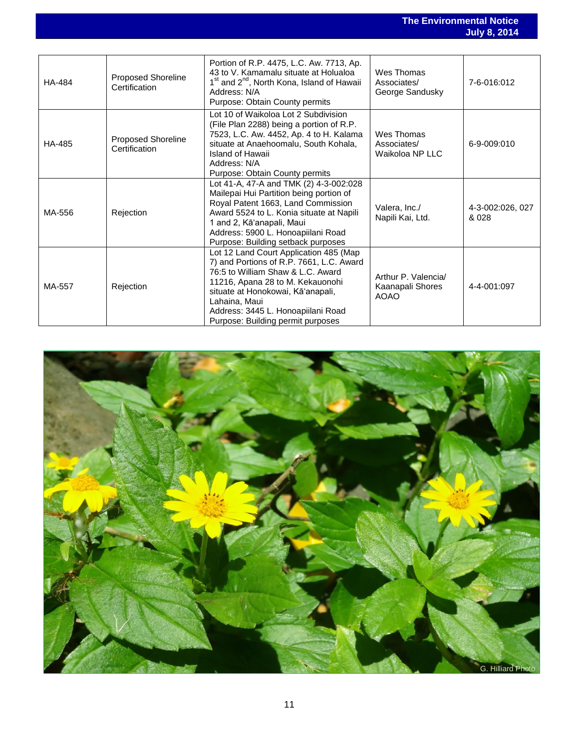### **The Environmental Notice July 8, 2014**

| <b>HA-484</b> | Proposed Shoreline<br>Certification | Portion of R.P. 4475, L.C. Aw. 7713, Ap.<br>43 to V. Kamamalu situate at Holualoa<br>1 <sup>st</sup> and 2 <sup>nd</sup> , North Kona, Island of Hawaii<br>Address: N/A<br>Purpose: Obtain County permits                                                                                    | Wes Thomas<br>Associates/<br>George Sandusky           | 7-6-016:012               |
|---------------|-------------------------------------|----------------------------------------------------------------------------------------------------------------------------------------------------------------------------------------------------------------------------------------------------------------------------------------------|--------------------------------------------------------|---------------------------|
| HA-485        | Proposed Shoreline<br>Certification | Lot 10 of Waikoloa Lot 2 Subdivision<br>(File Plan 2288) being a portion of R.P.<br>7523, L.C. Aw. 4452, Ap. 4 to H. Kalama<br>situate at Anaehoomalu, South Kohala,<br>Island of Hawaii<br>Address: N/A<br>Purpose: Obtain County permits                                                   | Wes Thomas<br>Associates/<br>Waikoloa NP LLC           | 6-9-009:010               |
| MA-556        | Rejection                           | Lot 41-A, 47-A and TMK (2) 4-3-002:028<br>Mailepai Hui Partition being portion of<br>Royal Patent 1663, Land Commission<br>Award 5524 to L. Konia situate at Napili<br>1 and 2, Kā'anapali, Maui<br>Address: 5900 L. Honoapiilani Road<br>Purpose: Building setback purposes                 | Valera, Inc./<br>Napili Kai, Ltd.                      | 4-3-002:026, 027<br>& 028 |
| MA-557        | Rejection                           | Lot 12 Land Court Application 485 (Map<br>7) and Portions of R.P. 7661, L.C. Award<br>76:5 to William Shaw & L.C. Award<br>11216, Apana 28 to M. Kekauonohi<br>situate at Honokowai, Kā'anapali,<br>Lahaina, Maui<br>Address: 3445 L. Honoapiilani Road<br>Purpose: Building permit purposes | Arthur P. Valencia/<br>Kaanapali Shores<br><b>AOAO</b> | 4-4-001:097               |